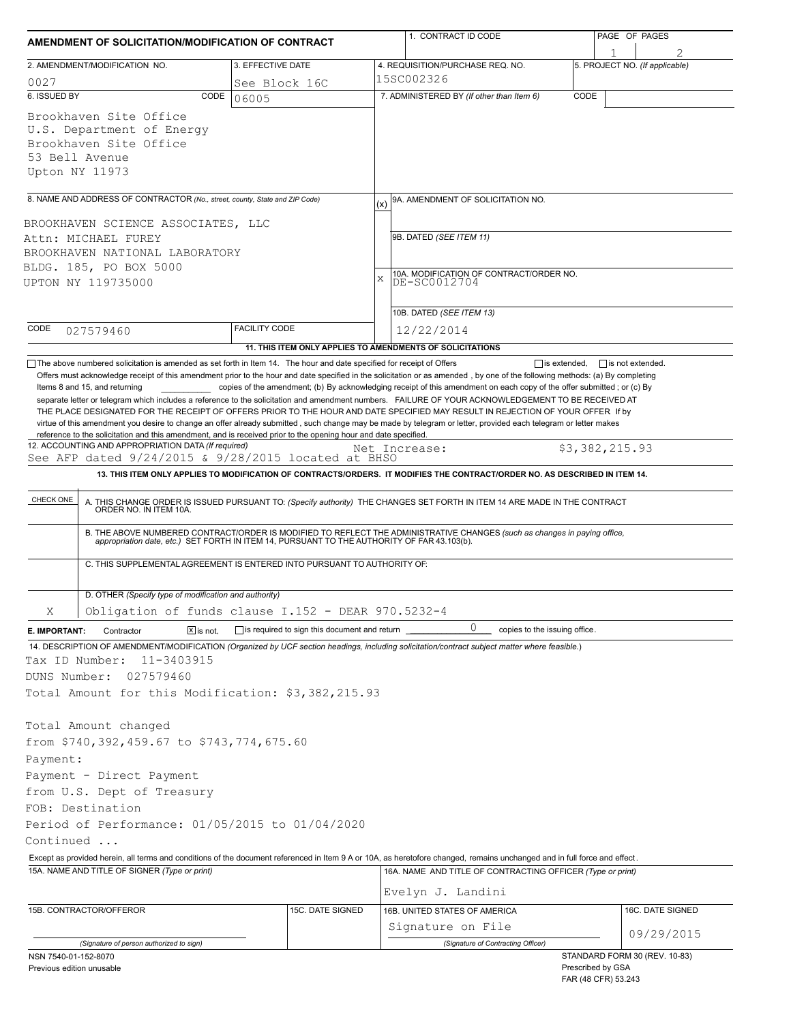| AMENDMENT OF SOLICITATION/MODIFICATION OF CONTRACT                                                                                                                                                                                             |                                              | 1. CONTRACT ID CODE                                                                                                                                                                                                                                                                                                                                                                                                                                                                                                       | PAGE OF PAGES                            |  |  |  |
|------------------------------------------------------------------------------------------------------------------------------------------------------------------------------------------------------------------------------------------------|----------------------------------------------|---------------------------------------------------------------------------------------------------------------------------------------------------------------------------------------------------------------------------------------------------------------------------------------------------------------------------------------------------------------------------------------------------------------------------------------------------------------------------------------------------------------------------|------------------------------------------|--|--|--|
| 2. AMENDMENT/MODIFICATION NO.                                                                                                                                                                                                                  | 3. EFFECTIVE DATE                            | 4. REQUISITION/PURCHASE REQ. NO.                                                                                                                                                                                                                                                                                                                                                                                                                                                                                          | 5. PROJECT NO. (If applicable)           |  |  |  |
| 0027                                                                                                                                                                                                                                           | See Block 16C                                | 15SC002326                                                                                                                                                                                                                                                                                                                                                                                                                                                                                                                |                                          |  |  |  |
| 6. ISSUED BY<br>CODE                                                                                                                                                                                                                           | 06005                                        | 7. ADMINISTERED BY (If other than Item 6)                                                                                                                                                                                                                                                                                                                                                                                                                                                                                 | CODE                                     |  |  |  |
| Brookhaven Site Office<br>U.S. Department of Energy<br>Brookhaven Site Office<br>53 Bell Avenue<br>Upton NY 11973                                                                                                                              |                                              |                                                                                                                                                                                                                                                                                                                                                                                                                                                                                                                           |                                          |  |  |  |
| 8. NAME AND ADDRESS OF CONTRACTOR (No., street, county, State and ZIP Code)                                                                                                                                                                    |                                              | 9A. AMENDMENT OF SOLICITATION NO.                                                                                                                                                                                                                                                                                                                                                                                                                                                                                         |                                          |  |  |  |
|                                                                                                                                                                                                                                                |                                              | (x)                                                                                                                                                                                                                                                                                                                                                                                                                                                                                                                       |                                          |  |  |  |
| BROOKHAVEN SCIENCE ASSOCIATES, LLC                                                                                                                                                                                                             |                                              | 9B. DATED (SEE ITEM 11)                                                                                                                                                                                                                                                                                                                                                                                                                                                                                                   |                                          |  |  |  |
| Attn: MICHAEL FUREY<br>BROOKHAVEN NATIONAL LABORATORY                                                                                                                                                                                          |                                              |                                                                                                                                                                                                                                                                                                                                                                                                                                                                                                                           |                                          |  |  |  |
| BLDG. 185, PO BOX 5000                                                                                                                                                                                                                         |                                              |                                                                                                                                                                                                                                                                                                                                                                                                                                                                                                                           |                                          |  |  |  |
| UPTON NY 119735000                                                                                                                                                                                                                             |                                              | 10A. MODIFICATION OF CONTRACT/ORDER NO.<br>$\mathbf{x}$<br>DE-SC0012704                                                                                                                                                                                                                                                                                                                                                                                                                                                   |                                          |  |  |  |
|                                                                                                                                                                                                                                                |                                              |                                                                                                                                                                                                                                                                                                                                                                                                                                                                                                                           |                                          |  |  |  |
|                                                                                                                                                                                                                                                |                                              | 10B. DATED (SEE ITEM 13)                                                                                                                                                                                                                                                                                                                                                                                                                                                                                                  |                                          |  |  |  |
| CODE<br>027579460                                                                                                                                                                                                                              | <b>FACILITY CODE</b>                         | 12/22/2014                                                                                                                                                                                                                                                                                                                                                                                                                                                                                                                |                                          |  |  |  |
|                                                                                                                                                                                                                                                |                                              | 11. THIS ITEM ONLY APPLIES TO AMENDMENTS OF SOLICITATIONS                                                                                                                                                                                                                                                                                                                                                                                                                                                                 |                                          |  |  |  |
| reference to the solicitation and this amendment, and is received prior to the opening hour and date specified.<br>12. ACCOUNTING AND APPROPRIATION DATA (If required)<br>See AFP dated $9/24/2015$ & $9/28/2015$ located at BHSO<br>CHECK ONE |                                              | Net Increase:<br>13. THIS ITEM ONLY APPLIES TO MODIFICATION OF CONTRACTS/ORDERS. IT MODIFIES THE CONTRACT/ORDER NO. AS DESCRIBED IN ITEM 14.<br>A. THIS CHANGE ORDER IS ISSUED PURSUANT TO: (Specify authority) THE CHANGES SET FORTH IN ITEM 14 ARE MADE IN THE CONTRACT ORDER NO. IN ITEM 10A.<br>B. THE ABOVE NUMBERED CONTRACT/ORDER IS MODIFIED TO REFLECT THE ADMINISTRATIVE CHANGES (such as changes in paying office, appropriation date, etc.) SET FORTH IN ITEM 14, PURSUANT TO THE AUTHORITY OF FAR 43.103(b). | \$3,382,215.93                           |  |  |  |
| C. THIS SUPPLEMENTAL AGREEMENT IS ENTERED INTO PURSUANT TO AUTHORITY OF:                                                                                                                                                                       |                                              |                                                                                                                                                                                                                                                                                                                                                                                                                                                                                                                           |                                          |  |  |  |
| D. OTHER (Specify type of modification and authority)                                                                                                                                                                                          |                                              |                                                                                                                                                                                                                                                                                                                                                                                                                                                                                                                           |                                          |  |  |  |
| Obligation of funds clause $I.152 - DERR 970.5232-4$<br>Χ                                                                                                                                                                                      |                                              |                                                                                                                                                                                                                                                                                                                                                                                                                                                                                                                           |                                          |  |  |  |
| Contractor<br>$X$ is not.<br>E. IMPORTANT:                                                                                                                                                                                                     | is required to sign this document and return | 0<br>copies to the issuing office.                                                                                                                                                                                                                                                                                                                                                                                                                                                                                        |                                          |  |  |  |
| 14. DESCRIPTION OF AMENDMENT/MODIFICATION (Organized by UCF section headings, including solicitation/contract subject matter where feasible.)                                                                                                  |                                              |                                                                                                                                                                                                                                                                                                                                                                                                                                                                                                                           |                                          |  |  |  |
| Tax ID Number:<br>11-3403915<br>DUNS Number:<br>027579460                                                                                                                                                                                      |                                              |                                                                                                                                                                                                                                                                                                                                                                                                                                                                                                                           |                                          |  |  |  |
| Total Amount for this Modification: \$3,382,215.93                                                                                                                                                                                             |                                              |                                                                                                                                                                                                                                                                                                                                                                                                                                                                                                                           |                                          |  |  |  |
| Total Amount changed<br>from \$740,392,459.67 to \$743,774,675.60<br>Payment:<br>Payment - Direct Payment<br>from U.S. Dept of Treasury<br>FOB: Destination<br>Period of Performance: 01/05/2015 to 01/04/2020                                 |                                              |                                                                                                                                                                                                                                                                                                                                                                                                                                                                                                                           |                                          |  |  |  |
| Continued                                                                                                                                                                                                                                      |                                              |                                                                                                                                                                                                                                                                                                                                                                                                                                                                                                                           |                                          |  |  |  |
| Except as provided herein, all terms and conditions of the document referenced in Item 9 A or 10A, as heretofore changed, remains unchanged and in full force and effect.<br>15A. NAME AND TITLE OF SIGNER (Type or print)                     |                                              | 16A. NAME AND TITLE OF CONTRACTING OFFICER (Type or print)                                                                                                                                                                                                                                                                                                                                                                                                                                                                |                                          |  |  |  |
|                                                                                                                                                                                                                                                |                                              |                                                                                                                                                                                                                                                                                                                                                                                                                                                                                                                           |                                          |  |  |  |
|                                                                                                                                                                                                                                                |                                              | Evelyn J. Landini                                                                                                                                                                                                                                                                                                                                                                                                                                                                                                         |                                          |  |  |  |
| 15B. CONTRACTOR/OFFEROR                                                                                                                                                                                                                        | 15C. DATE SIGNED                             | 16B. UNITED STATES OF AMERICA                                                                                                                                                                                                                                                                                                                                                                                                                                                                                             | 16C. DATE SIGNED                         |  |  |  |
|                                                                                                                                                                                                                                                |                                              | Signature on File                                                                                                                                                                                                                                                                                                                                                                                                                                                                                                         | 09/29/2015                               |  |  |  |
| (Signature of person authorized to sign)<br>NSN 7540-01-152-8070                                                                                                                                                                               |                                              | (Signature of Contracting Officer)                                                                                                                                                                                                                                                                                                                                                                                                                                                                                        | STANDARD FORM 30 (REV. 10-83)            |  |  |  |
| Previous edition unusable                                                                                                                                                                                                                      |                                              |                                                                                                                                                                                                                                                                                                                                                                                                                                                                                                                           | Prescribed by GSA<br>FAR (48 CFR) 53.243 |  |  |  |